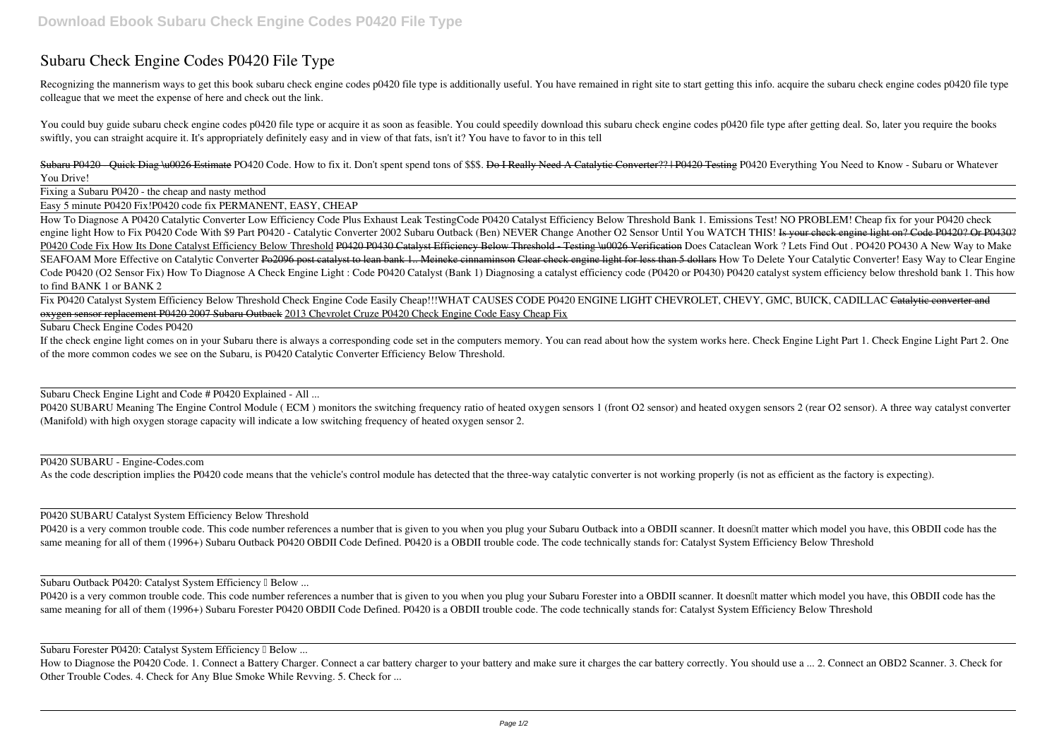## **Subaru Check Engine Codes P0420 File Type**

Recognizing the mannerism ways to get this book subaru check engine codes p0420 file type is additionally useful. You have remained in right site to start getting this info. acquire the subaru check engine codes p0420 file colleague that we meet the expense of here and check out the link.

You could buy guide subaru check engine codes p0420 file type or acquire it as soon as feasible. You could speedily download this subaru check engine codes p0420 file type after getting deal. So, later you require the book swiftly, you can straight acquire it. It's appropriately definitely easy and in view of that fats, isn't it? You have to favor to in this tell

Subaru P0420 - Oujek Diag \u0026 Estimate PO420 Code. How to fix it. Don't spent spend tons of \$\$\$. <del>Do I Really Need A Catalytic Converter?? | P0420 Testing</del> P0420 Everything You Need to Know - Subaru or Whatever *You Drive!*

Fixing a Subaru P0420 - the cheap and nasty method

Easy 5 minute P0420 Fix!*P0420 code fix PERMANENT, EASY, CHEAP*

Fix P0420 Catalyst System Efficiency Below Threshold Check Engine Code Easily Cheap!!!WHAT CAUSES CODE P0420 ENGINE LIGHT CHEVROLET, CHEVY, GMC, BUICK, CADILLAC Catalytic converter and oxygen sensor replacement P0420 2007 Subaru Outback 2013 Chevrolet Cruze P0420 Check Engine Code Easy Cheap Fix

How To Diagnose A P0420 Catalytic Converter Low Efficiency Code Plus Exhaust Leak Testing**Code P0420 Catalyst Efficiency Below Threshold Bank 1. Emissions Test! NO PROBLEM!** *Cheap fix for your P0420 check* engine light How to Fix P0420 Code With \$9 Part P0420 - Catalytic Converter 2002 Subaru Outback (Ben) NEVER Change Another O2 Sensor Until You WATCH THIS! Is your check engine light on? Code P0420? Or P0430? P0420 Code Fix How Its Done Catalyst Efficiency Below Threshold P0420 P0430 Catalyst Efficiency Below Threshold - Testing \u0026 Verification *Does Cataclean Work ? Lets Find Out . PO420 PO430 A New Way to Make* SEAFOAM More Effective on Catalytic Converter Po2096 post catalyst to lean bank 1.. Meineke cinnaminson Clear check engine light for less than 5 dollars How To Delete Your Catalytic Converter! Easy Way to Clear Engine Code P0420 (O2 Sensor Fix) How To Diagnose A Check Engine Light: Code P0420 Catalyst (Bank 1) Diagnosing a catalyst efficiency code (P0420 or P0430) P0420 catalyst system efficiency below threshold bank 1. This how to find BANK 1 or BANK 2

How to Diagnose the P0420 Code. 1. Connect a Battery Charger. Connect a car battery charger to your battery and make sure it charges the car battery correctly. You should use a ... 2. Connect an OBD2 Scanner. 3. Check for Other Trouble Codes. 4. Check for Any Blue Smoke While Revving. 5. Check for ...

Subaru Check Engine Codes P0420

If the check engine light comes on in your Subaru there is always a corresponding code set in the computers memory. You can read about how the system works here. Check Engine Light Part 1. Check Engine Light Part 2. One of the more common codes we see on the Subaru, is P0420 Catalytic Converter Efficiency Below Threshold.

Subaru Check Engine Light and Code # P0420 Explained - All ...

P0420 SUBARU Meaning The Engine Control Module ( ECM ) monitors the switching frequency ratio of heated oxygen sensors 1 (front O2 sensor) and heated oxygen sensors 2 (rear O2 sensor). A three way catalyst converter (Manifold) with high oxygen storage capacity will indicate a low switching frequency of heated oxygen sensor 2.

P0420 SUBARU - Engine-Codes.com

As the code description implies the P0420 code means that the vehicle's control module has detected that the three-way catalytic converter is not working properly (is not as efficient as the factory is expecting).

P0420 SUBARU Catalyst System Efficiency Below Threshold

P0420 is a very common trouble code. This code number references a number that is given to you when you plug your Subaru Outback into a OBDII scanner. It doesn'llt matter which model you have, this OBDII code has the same meaning for all of them (1996+) Subaru Outback P0420 OBDII Code Defined. P0420 is a OBDII trouble code. The code technically stands for: Catalyst System Efficiency Below Threshold

Subaru Outback P0420: Catalyst System Efficiency □ Below ...

P0420 is a very common trouble code. This code number references a number that is given to you when you plug your Subaru Forester into a OBDII scanner. It doesn'll matter which model you have, this OBDII code has the same meaning for all of them (1996+) Subaru Forester P0420 OBDII Code Defined. P0420 is a OBDII trouble code. The code technically stands for: Catalyst System Efficiency Below Threshold

Subaru Forester P0420: Catalyst System Efficiency □ Below ...